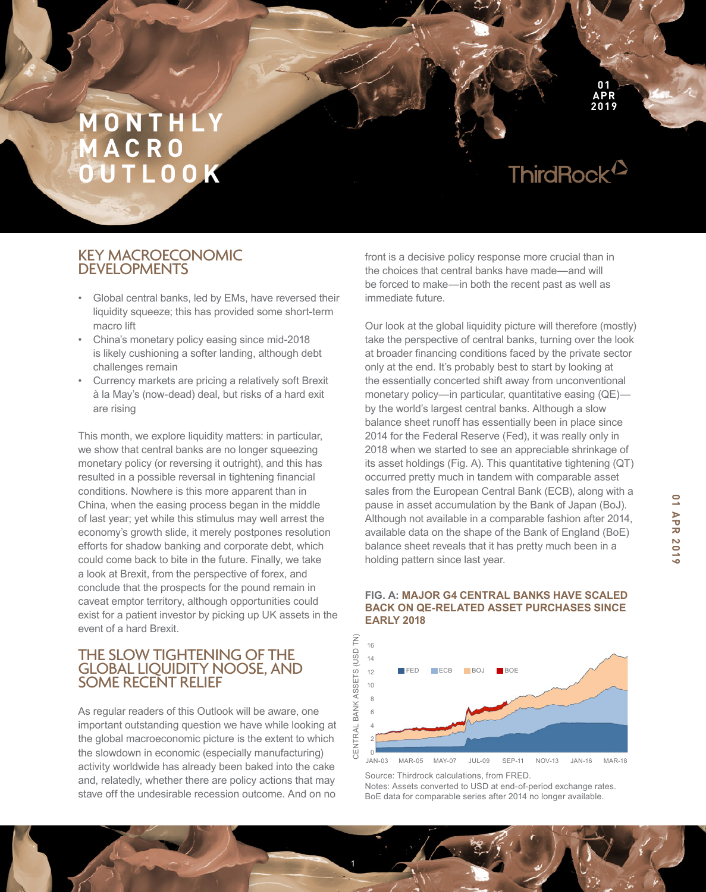ThirdRock<sup>12</sup>

**01 APR 2019**

# KEY MACROECONOMIC DEVELOPMENTS

- Global central banks, led by EMs, have reversed their liquidity squeeze; this has provided some short-term macro lift
- China's monetary policy easing since mid-2018 is likely cushioning a softer landing, although debt challenges remain
- Currency markets are pricing a relatively soft Brexit à la May's (now-dead) deal, but risks of a hard exit are rising

This month, we explore liquidity matters: in particular, we show that central banks are no longer squeezing monetary policy (or reversing it outright), and this has resulted in a possible reversal in tightening financial conditions. Nowhere is this more apparent than in China, when the easing process began in the middle of last year; yet while this stimulus may well arrest the economy's growth slide, it merely postpones resolution efforts for shadow banking and corporate debt, which could come back to bite in the future. Finally, we take a look at Brexit, from the perspective of forex, and conclude that the prospects for the pound remain in caveat emptor territory, although opportunities could exist for a patient investor by picking up UK assets in the event of a hard Brexit.

# THE SLOW TIGHTENING OF THE GLOBAL LIQUIDITY NOOSE, AND SOME RECENT RELIEF

As regular readers of this Outlook will be aware, one important outstanding question we have while looking at the global macroeconomic picture is the extent to which the slowdown in economic (especially manufacturing) activity worldwide has already been baked into the cake and, relatedly, whether there are policy actions that may stave off the undesirable recession outcome. And on no

front is a decisive policy response more crucial than in the choices that central banks have made—and will be forced to make—in both the recent past as well as immediate future.

Our look at the global liquidity picture will therefore (mostly) take the perspective of central banks, turning over the look at broader financing conditions faced by the private sector only at the end. It's probably best to start by looking at the essentially concerted shift away from unconventional monetary policy—in particular, quantitative easing (QE) by the world's largest central banks. Although a slow balance sheet runoff has essentially been in place since 2014 for the Federal Reserve (Fed), it was really only in 2018 when we started to see an appreciable shrinkage of its asset holdings (Fig. A). This quantitative tightening (QT) occurred pretty much in tandem with comparable asset sales from the European Central Bank (ECB), along with a pause in asset accumulation by the Bank of Japan (BoJ). Although not available in a comparable fashion after 2014, available data on the shape of the Bank of England (BoE) balance sheet reveals that it has pretty much been in a holding pattern since last year.



#### **FIG. A: MAJOR G4 CENTRAL BANKS HAVE SCALED BACK ON QE-RELATED ASSET PURCHASES SINCE EARLY 2018**

Source: Thirdrock calculations, from FRED. Notes: Assets converted to USD at end-of-period exchange rates. BoE data for comparable series after 2014 no longer available.

1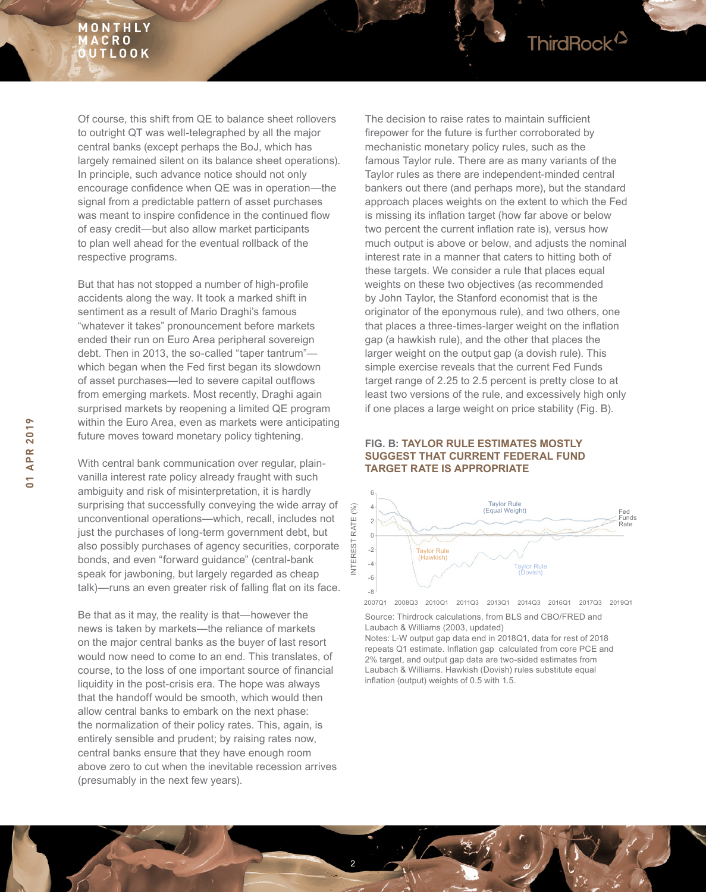

But that has not stopped a number of high-profile accidents along the way. It took a marked shift in sentiment as a result of Mario Draghi's famous "whatever it takes" pronouncement before markets ended their run on Euro Area peripheral sovereign debt. Then in 2013, the so-called "taper tantrum" which began when the Fed first began its slowdown of asset purchases—led to severe capital outflows from emerging markets. Most recently, Draghi again surprised markets by reopening a limited QE program within the Euro Area, even as markets were anticipating future moves toward monetary policy tightening.

With central bank communication over regular, plainvanilla interest rate policy already fraught with such ambiguity and risk of misinterpretation, it is hardly surprising that successfully conveying the wide array of unconventional operations—which, recall, includes not just the purchases of long-term government debt, but also possibly purchases of agency securities, corporate bonds, and even "forward guidance" (central-bank speak for jawboning, but largely regarded as cheap talk)—runs an even greater risk of falling flat on its face.

Be that as it may, the reality is that—however the news is taken by markets—the reliance of markets on the major central banks as the buyer of last resort would now need to come to an end. This translates, of course, to the loss of one important source of financial liquidity in the post-crisis era. The hope was always that the handoff would be smooth, which would then allow central banks to embark on the next phase: the normalization of their policy rates. This, again, is entirely sensible and prudent; by raising rates now, central banks ensure that they have enough room above zero to cut when the inevitable recession arrives (presumably in the next few years).

The decision to raise rates to maintain sufficient firepower for the future is further corroborated by mechanistic monetary policy rules, such as the famous Taylor rule. There are as many variants of the Taylor rules as there are independent-minded central bankers out there (and perhaps more), but the standard approach places weights on the extent to which the Fed is missing its inflation target (how far above or below two percent the current inflation rate is), versus how much output is above or below, and adjusts the nominal interest rate in a manner that caters to hitting both of these targets. We consider a rule that places equal weights on these two objectives (as recommended by John Taylor, the Stanford economist that is the originator of the eponymous rule), and two others, one that places a three-times-larger weight on the inflation gap (a hawkish rule), and the other that places the larger weight on the output gap (a dovish rule). This simple exercise reveals that the current Fed Funds target range of 2.25 to 2.5 percent is pretty close to at least two versions of the rule, and excessively high only if one places a large weight on price stability (Fig. B).

ThirdRock<sup>2</sup>

#### **FIG. B: TAYLOR RULE ESTIMATES MOSTLY SUGGEST THAT CURRENT FEDERAL FUND TARGET RATE IS APPROPRIATE**



2007Q1 2008Q3 2010Q1 2011Q3 2013Q1 2014Q3 2016Q1 2017Q3 2019Q1

Source: Thirdrock calculations, from BLS and CBO/FRED and Laubach & Williams (2003, updated)

Notes: L-W output gap data end in 2018Q1, data for rest of 2018 repeats Q1 estimate. Inflation gap calculated from core PCE and 2% target, and output gap data are two-sided estimates from Laubach & Williams. Hawkish (Dovish) rules substitute equal inflation (output) weights of 0.5 with 1.5.



INTEREST RATE (%)

**INTEREST**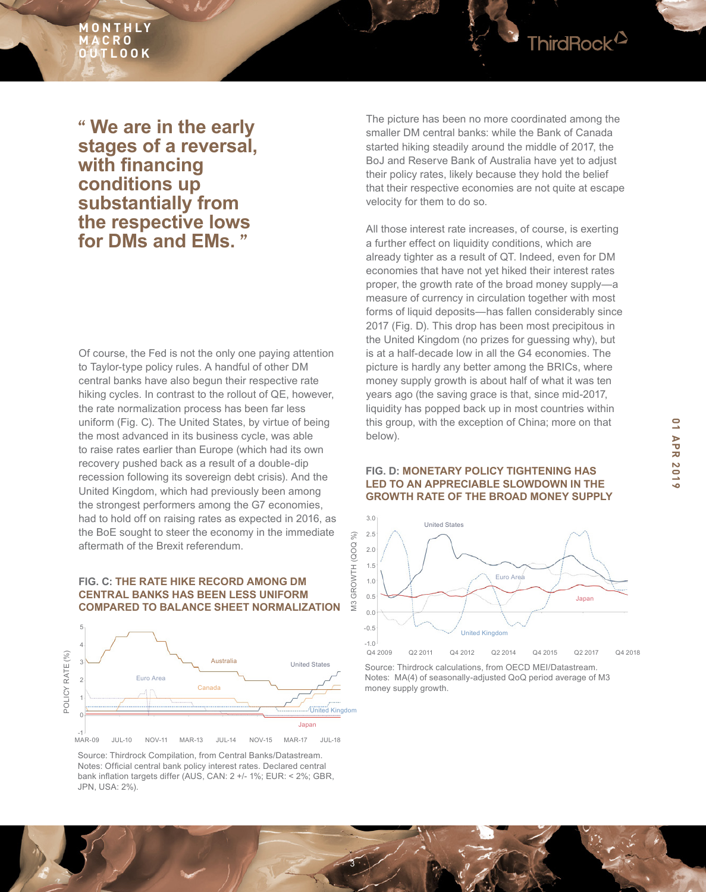

# **" We are in the early stages of a reversal, with financing conditions up substantially from the respective lows for DMs and EMs. "**

Of course, the Fed is not the only one paying attention to Taylor-type policy rules. A handful of other DM central banks have also begun their respective rate hiking cycles. In contrast to the rollout of QE, however, the rate normalization process has been far less uniform (Fig. C). The United States, by virtue of being the most advanced in its business cycle, was able to raise rates earlier than Europe (which had its own recovery pushed back as a result of a double-dip recession following its sovereign debt crisis). And the United Kingdom, which had previously been among the strongest performers among the G7 economies, had to hold off on raising rates as expected in 2016, as the BoE sought to steer the economy in the immediate aftermath of the Brexit referendum.

#### **FIG. C: THE RATE HIKE RECORD AMONG DM CENTRAL BANKS HAS BEEN LESS UNIFORM COMPARED TO BALANCE SHEET NORMALIZATION**



Source: Thirdrock Compilation, from Central Banks/Datastream. Notes: Official central bank policy interest rates. Declared central bank inflation targets differ (AUS, CAN: 2 +/- 1%; EUR: < 2%; GBR, JPN, USA: 2%).

The picture has been no more coordinated among the smaller DM central banks: while the Bank of Canada started hiking steadily around the middle of 2017, the BoJ and Reserve Bank of Australia have yet to adjust their policy rates, likely because they hold the belief that their respective economies are not quite at escape velocity for them to do so.

All those interest rate increases, of course, is exerting a further effect on liquidity conditions, which are already tighter as a result of QT. Indeed, even for DM economies that have not yet hiked their interest rates proper, the growth rate of the broad money supply—a measure of currency in circulation together with most forms of liquid deposits—has fallen considerably since 2017 (Fig. D). This drop has been most precipitous in the United Kingdom (no prizes for guessing why), but is at a half-decade low in all the G4 economies. The picture is hardly any better among the BRICs, where money supply growth is about half of what it was ten years ago (the saving grace is that, since mid-2017, liquidity has popped back up in most countries within this group, with the exception of China; more on that below).

#### **FIG. D: MONETARY POLICY TIGHTENING HAS LED TO AN APPRECIABLE SLOWDOWN IN THE GROWTH RATE OF THE BROAD MONEY SUPPLY**



Source: Thirdrock calculations, from OECD MEI/Datastream. Notes: MA(4) of seasonally-adjusted QoQ period average of M3 money supply growth.

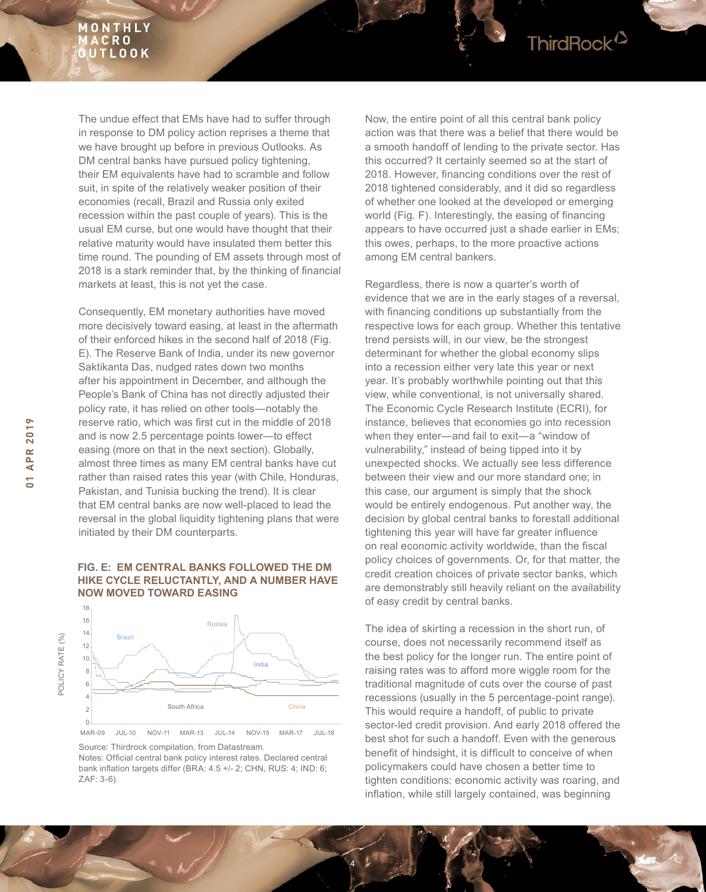The undue effect that EMs have had to suffer through in response to DM policy action reprises a theme that we have brought up before in previous Outlooks. As DM central banks have pursued policy tightening, their EM equivalents have had to scramble and follow suit, in spite of the relatively weaker position of their economies (recall, Brazil and Russia only exited recession within the past couple of years). This is the usual EM curse, but one would have thought that their relative maturity would have insulated them better this time round. The pounding of EM assets through most of 2018 is a stark reminder that, by the thinking of financial markets at least, this is not yet the case.

Consequently, EM monetary authorities have moved more decisively toward easing, at least in the aftermath of their enforced hikes in the second half of 2018 (Fig. E). The Reserve Bank of India, under its new governor Saktikanta Das, nudged rates down two months after his appointment in December, and although the People's Bank of China has not directly adjusted their policy rate, it has relied on other tools—notably the reserve ratio, which was first cut in the middle of 2018 and is now 2.5 percentage points lower—to effect easing (more on that in the next section). Globally, almost three times as many EM central banks have cut rather than raised rates this year (with Chile, Honduras, Pakistan, and Tunisia bucking the trend). It is clear that EM central banks are now well-placed to lead the reversal in the global liquidity tightening plans that were initiated by their DM counterparts.

#### **FIG. E: EM CENTRAL BANKS FOLLOWED THE DM HIKE CYCLE RELUCTANTLY, AND A NUMBER HAVE NOW MOVED TOWARD EASING**



Source: Thirdrock compilation, from Datastream. Notes: Official central bank policy interest rates. Declared central bank inflation targets differ (BRA: 4.5 +/- 2; CHN, RUS: 4; IND: 6; ZAF: 3-6).

Now, the entire point of all this central bank policy action was that there was a belief that there would be a smooth handoff of lending to the private sector. Has this occurred? It certainly seemed so at the start of 2018. However, financing conditions over the rest of 2018 tightened considerably, and it did so regardless of whether one looked at the developed or emerging world (Fig. F). Interestingly, the easing of financing appears to have occurred just a shade earlier in EMs; this owes, perhaps, to the more proactive actions among EM central bankers.

Regardless, there is now a quarter's worth of evidence that we are in the early stages of a reversal, with financing conditions up substantially from the respective lows for each group. Whether this tentative trend persists will, in our view, be the strongest determinant for whether the global economy slips into a recession either very late this year or next year. It's probably worthwhile pointing out that this view, while conventional, is not universally shared. The Economic Cycle Research Institute (ECRI), for instance, believes that economies go into recession when they enter—and fail to exit—a "window of vulnerability," instead of being tipped into it by unexpected shocks. We actually see less difference between their view and our more standard one; in this case, our argument is simply that the shock would be entirely endogenous. Put another way, the decision by global central banks to forestall additional tightening this year will have far greater influence on real economic activity worldwide, than the fiscal policy choices of governments. Or, for that matter, the credit creation choices of private sector banks, which are demonstrably still heavily reliant on the availability of easy credit by central banks.

The idea of skirting a recession in the short run, of course, does not necessarily recommend itself as the best policy for the longer run. The entire point of raising rates was to afford more wiggle room for the traditional magnitude of cuts over the course of past recessions (usually in the 5 percentage-point range). This would require a handoff, of public to private sector-led credit provision. And early 2018 offered the best shot for such a handoff. Even with the generous benefit of hindsight, it is difficult to conceive of when policymakers could have chosen a better time to tighten conditions: economic activity was roaring, and inflation, while still largely contained, was beginning

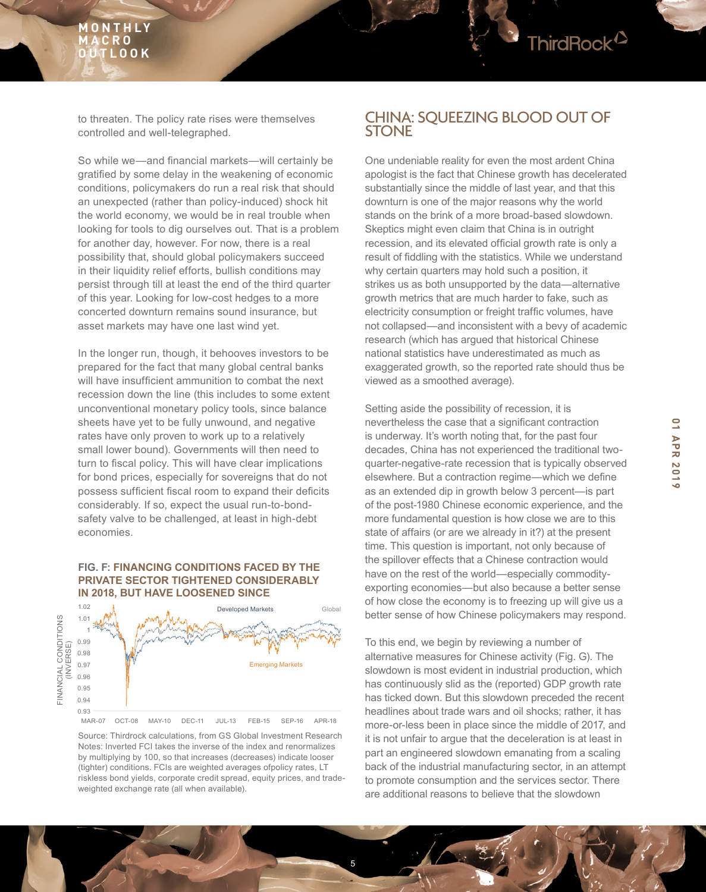

to threaten. The policy rate rises were themselves controlled and well-telegraphed.

So while we—and financial markets—will certainly be gratified by some delay in the weakening of economic conditions, policymakers do run a real risk that should an unexpected (rather than policy-induced) shock hit the world economy, we would be in real trouble when looking for tools to dig ourselves out. That is a problem for another day, however. For now, there is a real possibility that, should global policymakers succeed in their liquidity relief efforts, bullish conditions may persist through till at least the end of the third quarter of this year. Looking for low-cost hedges to a more concerted downturn remains sound insurance, but asset markets may have one last wind yet.

In the longer run, though, it behooves investors to be prepared for the fact that many global central banks will have insufficient ammunition to combat the next recession down the line (this includes to some extent unconventional monetary policy tools, since balance sheets have yet to be fully unwound, and negative rates have only proven to work up to a relatively small lower bound). Governments will then need to turn to fiscal policy. This will have clear implications for bond prices, especially for sovereigns that do not possess sufficient fiscal room to expand their deficits considerably. If so, expect the usual run-to-bondsafety valve to be challenged, at least in high-debt economies.

#### **FIG. F: FINANCING CONDITIONS FACED BY THE PRIVATE SECTOR TIGHTENED CONSIDERABLY IN 2018, BUT HAVE LOOSENED SINCE**



Source: Thirdrock calculations, from GS Global Investment Research Notes: Inverted FCI takes the inverse of the index and renormalizes by multiplying by 100, so that increases (decreases) indicate looser (tighter) conditions. FCIs are weighted averages ofpolicy rates, LT riskless bond yields, corporate credit spread, equity prices, and tradeweighted exchange rate (all when available).

5

# CHINA: SQUEEZING BLOOD OUT OF **STONE**

One undeniable reality for even the most ardent China apologist is the fact that Chinese growth has decelerated substantially since the middle of last year, and that this downturn is one of the major reasons why the world stands on the brink of a more broad-based slowdown. Skeptics might even claim that China is in outright recession, and its elevated official growth rate is only a result of fiddling with the statistics. While we understand why certain quarters may hold such a position, it strikes us as both unsupported by the data—alternative growth metrics that are much harder to fake, such as electricity consumption or freight traffic volumes, have not collapsed—and inconsistent with a bevy of academic research (which has argued that historical Chinese national statistics have underestimated as much as exaggerated growth, so the reported rate should thus be viewed as a smoothed average).

Setting aside the possibility of recession, it is nevertheless the case that a significant contraction is underway. It's worth noting that, for the past four decades, China has not experienced the traditional twoquarter-negative-rate recession that is typically observed elsewhere. But a contraction regime—which we define as an extended dip in growth below 3 percent—is part of the post-1980 Chinese economic experience, and the more fundamental question is how close we are to this state of affairs (or are we already in it?) at the present time. This question is important, not only because of the spillover effects that a Chinese contraction would have on the rest of the world—especially commodityexporting economies—but also because a better sense of how close the economy is to freezing up will give us a better sense of how Chinese policymakers may respond.

To this end, we begin by reviewing a number of alternative measures for Chinese activity (Fig. G). The slowdown is most evident in industrial production, which has continuously slid as the (reported) GDP growth rate has ticked down. But this slowdown preceded the recent headlines about trade wars and oil shocks; rather, it has more-or-less been in place since the middle of 2017, and it is not unfair to argue that the deceleration is at least in part an engineered slowdown emanating from a scaling back of the industrial manufacturing sector, in an attempt to promote consumption and the services sector. There are additional reasons to believe that the slowdown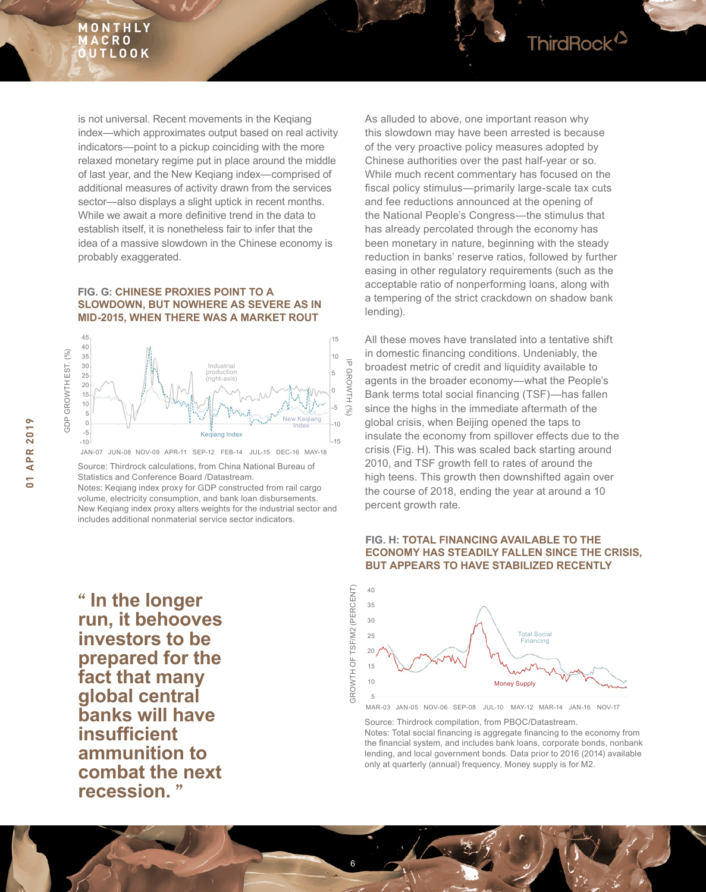

#### **FIG. G: CHINESE PROXIES POINT TO A SLOWDOWN, BUT NOWHERE AS SEVERE AS IN MID-2015, WHEN THERE WAS A MARKET ROUT**



JAN-07 JUN-08 NOV-09 APR-11 SEP-12 FEB-14 JUL-15 DEC-16 MAY-18

Source: Thirdrock calculations, from China National Bureau of Statistics and Conference Board /Datastream.

Notes: Keqiang index proxy for GDP constructed from rail cargo volume, electricity consumption, and bank loan disbursements. New Keqiang index proxy alters weights for the industrial sector and includes additional nonmaterial service sector indicators.

**" In the longer run, it behooves investors to be prepared for the fact that many global central banks will have insufficient ammunition to combat the next recession. "**

As alluded to above, one important reason why this slowdown may have been arrested is because of the very proactive policy measures adopted by Chinese authorities over the past half-year or so. While much recent commentary has focused on the fiscal policy stimulus—primarily large-scale tax cuts and fee reductions announced at the opening of the National People's Congress—the stimulus that has already percolated through the economy has been monetary in nature, beginning with the steady reduction in banks' reserve ratios, followed by further easing in other regulatory requirements (such as the acceptable ratio of nonperforming loans, along with a tempering of the strict crackdown on shadow bank lending).

ThirdRock<sup>2</sup>

All these moves have translated into a tentative shift in domestic financing conditions. Undeniably, the broadest metric of credit and liquidity available to agents in the broader economy—what the People's Bank terms total social financing (TSF)—has fallen since the highs in the immediate aftermath of the global crisis, when Beijing opened the taps to insulate the economy from spillover effects due to the crisis (Fig. H). This was scaled back starting around 2010, and TSF growth fell to rates of around the high teens. This growth then downshifted again over the course of 2018, ending the year at around a 10 percent growth rate.

#### **FIG. H: TOTAL FINANCING AVAILABLE TO THE ECONOMY HAS STEADILY FALLEN SINCE THE CRISIS, BUT APPEARS TO HAVE STABILIZED RECENTLY**



MAR-03 JAN-05 NOV-06 SEP-08 JUL-10 MAY-12 MAR-14 JAN-16 NOV-17

Source: Thirdrock compilation, from PBOC/Datastream.

6

Notes: Total social financing is aggregate financing to the economy from the financial system, and includes bank loans, corporate bonds, nonbank lending, and local government bonds. Data prior to 2016 (2014) available only at quarterly (annual) frequency. Money supply is for M2.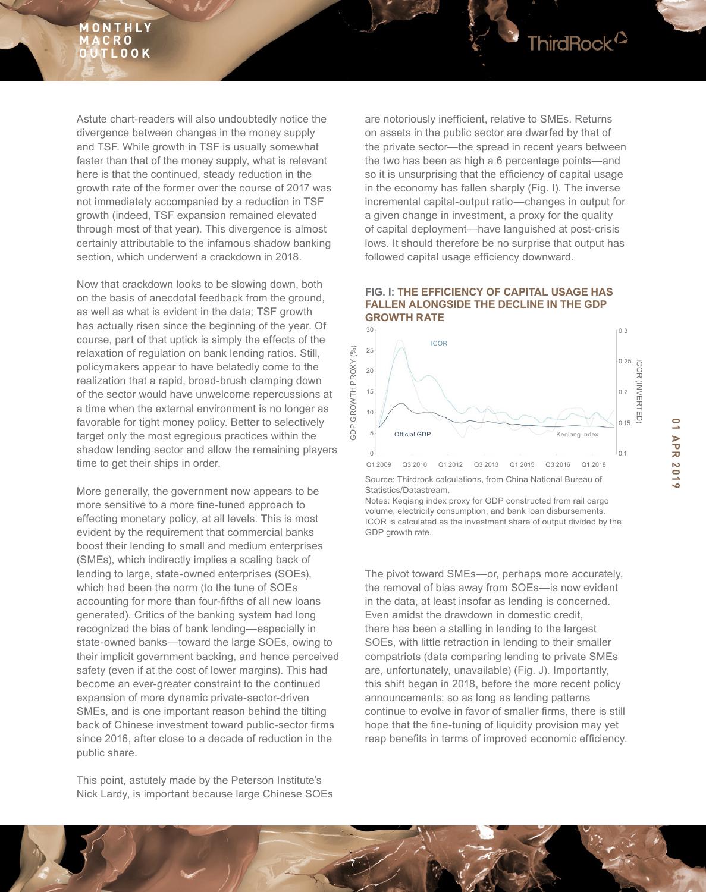Astute chart-readers will also undoubtedly notice the divergence between changes in the money supply and TSF. While growth in TSF is usually somewhat faster than that of the money supply, what is relevant here is that the continued, steady reduction in the growth rate of the former over the course of 2017 was not immediately accompanied by a reduction in TSF growth (indeed, TSF expansion remained elevated through most of that year). This divergence is almost certainly attributable to the infamous shadow banking section, which underwent a crackdown in 2018.

Now that crackdown looks to be slowing down, both on the basis of anecdotal feedback from the ground, as well as what is evident in the data; TSF growth has actually risen since the beginning of the year. Of course, part of that uptick is simply the effects of the relaxation of regulation on bank lending ratios. Still, policymakers appear to have belatedly come to the realization that a rapid, broad-brush clamping down of the sector would have unwelcome repercussions at a time when the external environment is no longer as favorable for tight money policy. Better to selectively target only the most egregious practices within the shadow lending sector and allow the remaining players time to get their ships in order.

More generally, the government now appears to be more sensitive to a more fine-tuned approach to effecting monetary policy, at all levels. This is most evident by the requirement that commercial banks boost their lending to small and medium enterprises (SMEs), which indirectly implies a scaling back of lending to large, state-owned enterprises (SOEs), which had been the norm (to the tune of SOEs accounting for more than four-fifths of all new loans generated). Critics of the banking system had long recognized the bias of bank lending—especially in state-owned banks—toward the large SOEs, owing to their implicit government backing, and hence perceived safety (even if at the cost of lower margins). This had become an ever-greater constraint to the continued expansion of more dynamic private-sector-driven SMEs, and is one important reason behind the tilting back of Chinese investment toward public-sector firms since 2016, after close to a decade of reduction in the public share.

This point, astutely made by the Peterson Institute's Nick Lardy, is important because large Chinese SOEs are notoriously inefficient, relative to SMEs. Returns on assets in the public sector are dwarfed by that of the private sector—the spread in recent years between the two has been as high a 6 percentage points—and so it is unsurprising that the efficiency of capital usage in the economy has fallen sharply (Fig. I). The inverse incremental capital-output ratio—changes in output for a given change in investment, a proxy for the quality of capital deployment—have languished at post-crisis lows. It should therefore be no surprise that output has followed capital usage efficiency downward.

ThirdRock<sup>12</sup>

#### **FIG. I: THE EFFICIENCY OF CAPITAL USAGE HAS FALLEN ALONGSIDE THE DECLINE IN THE GDP GROWTH RATE**



Source: Thirdrock calculations, from China National Bureau of Statistics/Datastream.

Notes: Keqiang index proxy for GDP constructed from rail cargo volume, electricity consumption, and bank loan disbursements. ICOR is calculated as the investment share of output divided by the GDP growth rate.

The pivot toward SMEs—or, perhaps more accurately, the removal of bias away from SOEs—is now evident in the data, at least insofar as lending is concerned. Even amidst the drawdown in domestic credit, there has been a stalling in lending to the largest SOEs, with little retraction in lending to their smaller compatriots (data comparing lending to private SMEs are, unfortunately, unavailable) (Fig. J). Importantly, this shift began in 2018, before the more recent policy announcements; so as long as lending patterns continue to evolve in favor of smaller firms, there is still hope that the fine-tuning of liquidity provision may yet reap benefits in terms of improved economic efficiency.

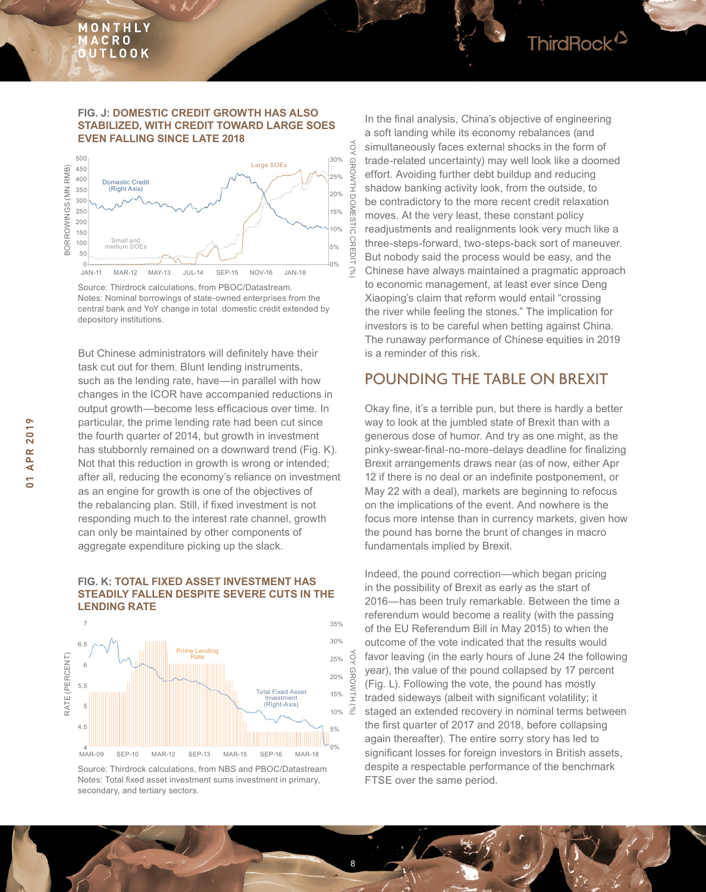#### **FIG. J: DOMESTIC CREDIT GROWTH HAS ALSO STABILIZED, WITH CREDIT TOWARD LARGE SOES EVEN FALLING SINCE LATE 2018**



Source: Thirdrock calculations, from PBOC/Datastream. Notes: Nominal borrowings of state-owned enterprises from the central bank and YoY change in total domestic credit extended by depository institutions.

But Chinese administrators will definitely have their task cut out for them. Blunt lending instruments, such as the lending rate, have—in parallel with how changes in the ICOR have accompanied reductions in output growth—become less efficacious over time. In particular, the prime lending rate had been cut since the fourth quarter of 2014, but growth in investment has stubbornly remained on a downward trend (Fig. K). Not that this reduction in growth is wrong or intended; after all, reducing the economy's reliance on investment as an engine for growth is one of the objectives of the rebalancing plan. Still, if fixed investment is not responding much to the interest rate channel, growth can only be maintained by other components of aggregate expenditure picking up the slack.

#### **FIG. K: TOTAL FIXED ASSET INVESTMENT HAS STEADILY FALLEN DESPITE SEVERE CUTS IN THE LENDING RATE**



Source: Thirdrock calculations, from NBS and PBOC/Datastream Notes: Total fixed asset investment sums investment in primary, secondary, and tertiary sectors.

8

In the final analysis, China's objective of engineering a soft landing while its economy rebalances (and simultaneously faces external shocks in the form of trade-related uncertainty) may well look like a doomed effort. Avoiding further debt buildup and reducing shadow banking activity look, from the outside, to be contradictory to the more recent credit relaxation moves. At the very least, these constant policy readjustments and realignments look very much like a three-steps-forward, two-steps-back sort of maneuver. But nobody said the process would be easy, and the Chinese have always maintained a pragmatic approach to economic management, at least ever since Deng Xiaoping's claim that reform would entail "crossing the river while feeling the stones." The implication for investors is to be careful when betting against China. The runaway performance of Chinese equities in 2019 is a reminder of this risk.

# POUNDING THE TABLE ON BREXIT

Okay fine, it's a terrible pun, but there is hardly a better way to look at the jumbled state of Brexit than with a generous dose of humor. And try as one might, as the pinky-swear-final-no-more-delays deadline for finalizing Brexit arrangements draws near (as of now, either Apr 12 if there is no deal or an indefinite postponement, or May 22 with a deal), markets are beginning to refocus on the implications of the event. And nowhere is the focus more intense than in currency markets, given how the pound has borne the brunt of changes in macro fundamentals implied by Brexit.

Indeed, the pound correction—which began pricing in the possibility of Brexit as early as the start of 2016—has been truly remarkable. Between the time a referendum would become a reality (with the passing of the EU Referendum Bill in May 2015) to when the outcome of the vote indicated that the results would favor leaving (in the early hours of June 24 the following year), the value of the pound collapsed by 17 percent (Fig. L). Following the vote, the pound has mostly traded sideways (albeit with significant volatility; it staged an extended recovery in nominal terms between the first quarter of 2017 and 2018, before collapsing again thereafter). The entire sorry story has led to significant losses for foreign investors in British assets, despite a respectable performance of the benchmark FTSE over the same period.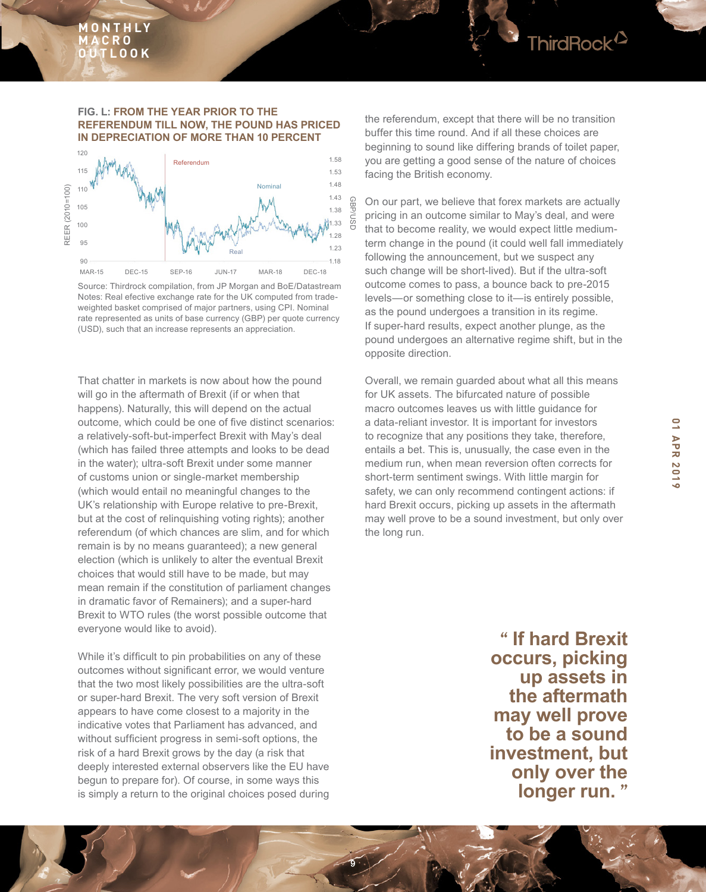

Source: Thirdrock compilation, from JP Morgan and BoE/Datastream Notes: Real efective exchange rate for the UK computed from tradeweighted basket comprised of major partners, using CPI. Nominal rate represented as units of base currency (GBP) per quote currency (USD), such that an increase represents an appreciation.

That chatter in markets is now about how the pound will go in the aftermath of Brexit (if or when that happens). Naturally, this will depend on the actual outcome, which could be one of five distinct scenarios: a relatively-soft-but-imperfect Brexit with May's deal (which has failed three attempts and looks to be dead in the water); ultra-soft Brexit under some manner of customs union or single-market membership (which would entail no meaningful changes to the UK's relationship with Europe relative to pre-Brexit, but at the cost of relinquishing voting rights); another referendum (of which chances are slim, and for which remain is by no means guaranteed); a new general election (which is unlikely to alter the eventual Brexit choices that would still have to be made, but may mean remain if the constitution of parliament changes in dramatic favor of Remainers); and a super-hard Brexit to WTO rules (the worst possible outcome that everyone would like to avoid).

While it's difficult to pin probabilities on any of these outcomes without significant error, we would venture that the two most likely possibilities are the ultra-soft or super-hard Brexit. The very soft version of Brexit appears to have come closest to a majority in the indicative votes that Parliament has advanced, and without sufficient progress in semi-soft options, the risk of a hard Brexit grows by the day (a risk that deeply interested external observers like the EU have begun to prepare for). Of course, in some ways this is simply a return to the original choices posed during

9

the referendum, except that there will be no transition buffer this time round. And if all these choices are beginning to sound like differing brands of toilet paper, you are getting a good sense of the nature of choices facing the British economy.

ThirdRock<sup>12</sup>

On our part, we believe that forex markets are actually pricing in an outcome similar to May's deal, and were that to become reality, we would expect little mediumterm change in the pound (it could well fall immediately following the announcement, but we suspect any such change will be short-lived). But if the ultra-soft outcome comes to pass, a bounce back to pre-2015 levels—or something close to it—is entirely possible, as the pound undergoes a transition in its regime. If super-hard results, expect another plunge, as the pound undergoes an alternative regime shift, but in the opposite direction.

Overall, we remain guarded about what all this means for UK assets. The bifurcated nature of possible macro outcomes leaves us with little guidance for a data-reliant investor. It is important for investors to recognize that any positions they take, therefore, entails a bet. This is, unusually, the case even in the medium run, when mean reversion often corrects for short-term sentiment swings. With little margin for safety, we can only recommend contingent actions: if hard Brexit occurs, picking up assets in the aftermath may well prove to be a sound investment, but only over the long run.

> **" If hard Brexit occurs, picking up assets in the aftermath may well prove to be a sound investment, but only over the longer run. "**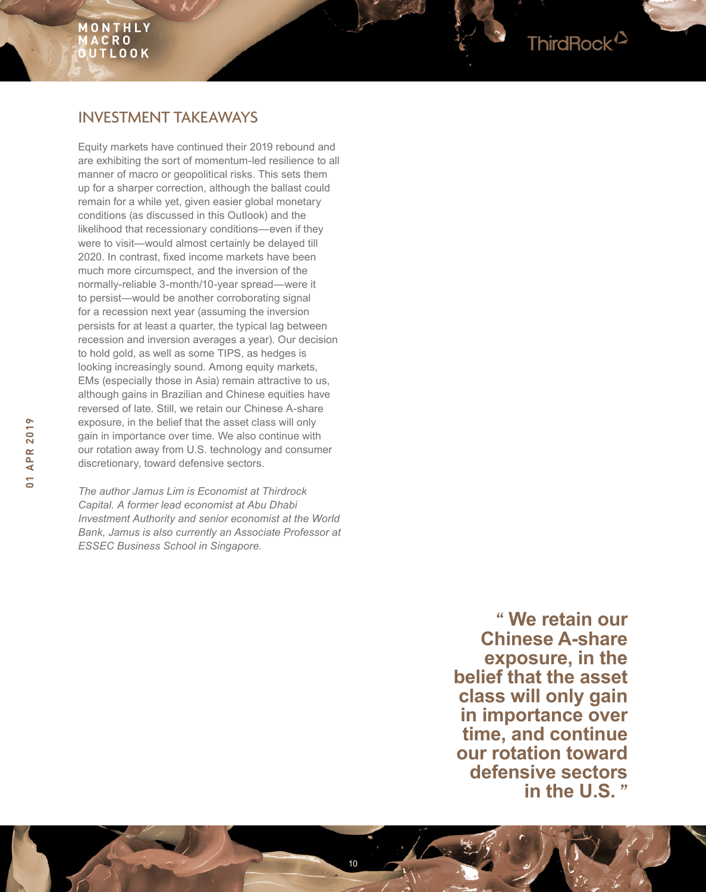# INVESTMENT TAKEAWAYS

Equity markets have continued their 2019 rebound and are exhibiting the sort of momentum-led resilience to all manner of macro or geopolitical risks. This sets them up for a sharper correction, although the ballast could remain for a while yet, given easier global monetary conditions (as discussed in this Outlook) and the likelihood that recessionary conditions—even if they were to visit—would almost certainly be delayed till 2020. In contrast, fixed income markets have been much more circumspect, and the inversion of the normally-reliable 3-month/10-year spread—were it to persist—would be another corroborating signal for a recession next year (assuming the inversion persists for at least a quarter, the typical lag between recession and inversion averages a year). Our decision to hold gold, as well as some TIPS, as hedges is looking increasingly sound. Among equity markets, EMs (especially those in Asia) remain attractive to us, although gains in Brazilian and Chinese equities have reversed of late. Still, we retain our Chinese A-share exposure, in the belief that the asset class will only gain in importance over time. We also continue with our rotation away from U.S. technology and consumer discretionary, toward defensive sectors.

*The author Jamus Lim is Economist at Thirdrock Capital. A former lead economist at Abu Dhabi Investment Authority and senior economist at the World Bank, Jamus is also currently an Associate Professor at ESSEC Business School in Singapore.*

> **" We retain our Chinese A-share exposure, in the belief that the asset class will only gain in importance over time, and continue our rotation toward defensive sectors in the U.S. "**

ThirdRock<sup>2</sup>



**01 APR 2019**

 $\overline{a}$ 

**APR 2019**